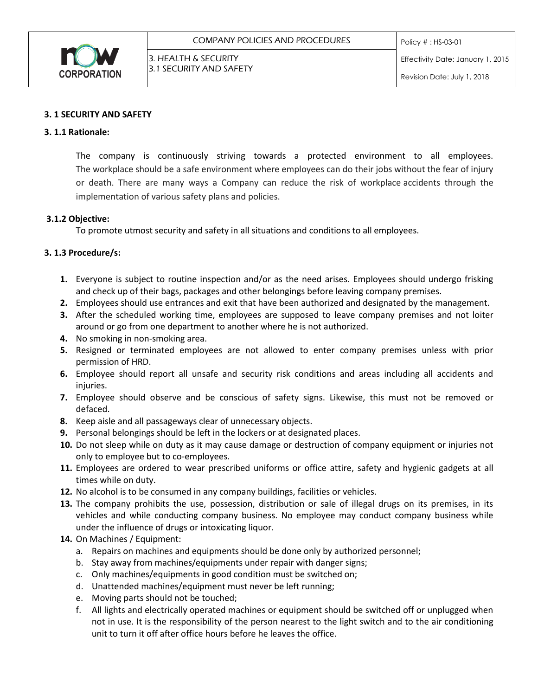

## **3. 1 SECURITY AND SAFETY**

## **3. 1.1 Rationale:**

The company is continuously striving towards a protected environment to all employees. The workplace should be a safe environment where employees can do their jobs without the fear of injury or death. There are many ways a Company can reduce the risk of workplace accidents through the implementation of various safety plans and policies.

## **3.1.2 Objective:**

To promote utmost security and safety in all situations and conditions to all employees.

# **3. 1.3 Procedure/s:**

- **1.** Everyone is subject to routine inspection and/or as the need arises. Employees should undergo frisking and check up of their bags, packages and other belongings before leaving company premises.
- **2.** Employees should use entrances and exit that have been authorized and designated by the management.
- **3.** After the scheduled working time, employees are supposed to leave company premises and not loiter around or go from one department to another where he is not authorized.
- **4.** No smoking in non-smoking area.
- **5.** Resigned or terminated employees are not allowed to enter company premises unless with prior permission of HRD.
- **6.** Employee should report all unsafe and security risk conditions and areas including all accidents and injuries.
- **7.** Employee should observe and be conscious of safety signs. Likewise, this must not be removed or defaced.
- **8.** Keep aisle and all passageways clear of unnecessary objects.
- **9.** Personal belongings should be left in the lockers or at designated places.
- **10.** Do not sleep while on duty as it may cause damage or destruction of company equipment or injuries not only to employee but to co-employees.
- **11.** Employees are ordered to wear prescribed uniforms or office attire, safety and hygienic gadgets at all times while on duty.
- **12.** No alcohol is to be consumed in any company buildings, facilities or vehicles.
- **13.** The company prohibits the use, possession, distribution or sale of illegal drugs on its premises, in its vehicles and while conducting company business. No employee may conduct company business while under the influence of drugs or intoxicating liquor.
- **14.** On Machines / Equipment:
	- a. Repairs on machines and equipments should be done only by authorized personnel;
	- b. Stay away from machines/equipments under repair with danger signs;
	- c. Only machines/equipments in good condition must be switched on;
	- d. Unattended machines/equipment must never be left running;
	- e. Moving parts should not be touched;
	- f. All lights and electrically operated machines or equipment should be switched off or unplugged when not in use. It is the responsibility of the person nearest to the light switch and to the air conditioning unit to turn it off after office hours before he leaves the office.